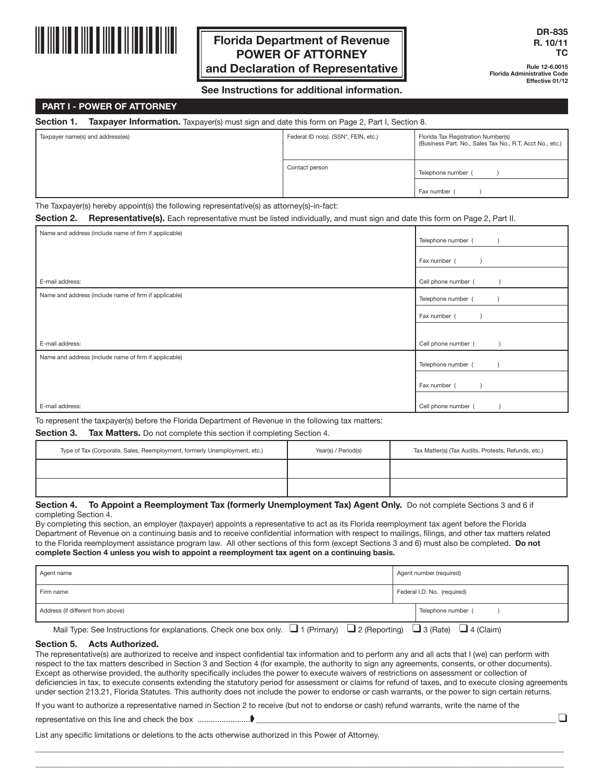

# **Florida Department of Revenue POWER OF ATTORNEY and Declaration of Representative**

**Rule 12-6.0015 Florida Administrative Code Effective 01/12**

# **See Instructions for additional information.**

## **PART I - POWER OF ATTORNEY**

**Section 1. Taxpayer Information.** Taxpayer(s) must sign and date this form on Page 2, Part I, Section 8.

| Taxpayer name(s) and address(es)                                                                                                                                            | Federal ID no(s). (SSN*, FEIN, etc.) | Florida Tax Registration Number(s)<br>(Business Part. No., Sales Tax No., R.T. Acct No., etc.) |
|-----------------------------------------------------------------------------------------------------------------------------------------------------------------------------|--------------------------------------|------------------------------------------------------------------------------------------------|
|                                                                                                                                                                             | Contact person                       | Telephone number                                                                               |
|                                                                                                                                                                             |                                      | Fax number                                                                                     |
| $-$<br>$\mathbf{1}$ and $\mathbf{1}$ and $\mathbf{1}$ and $\mathbf{1}$ and $\mathbf{1}$ and $\mathbf{1}$ and $\mathbf{1}$ and $\mathbf{1}$<br>.<br>$\overline{\phantom{a}}$ |                                      |                                                                                                |

The Taxpayer(s) hereby appoint(s) the following representative(s) as attorney(s)-in-fact:

**Section 2. Representative(s).** Each representative must be listed individually, and must sign and date this form on Page 2, Part II.

| Name and address (include name of firm if applicable) | Telephone number (  |
|-------------------------------------------------------|---------------------|
|                                                       | Fax number (        |
| E-mail address:                                       | Cell phone number ( |
| Name and address (include name of firm if applicable) | Telephone number (  |
|                                                       | Fax number (        |
| E-mail address:                                       | Cell phone number ( |
| Name and address (include name of firm if applicable) | Telephone number (  |
|                                                       | Fax number (        |
| E-mail address:                                       | Cell phone number ( |

To represent the taxpayer(s) before the Florida Department of Revenue in the following tax matters:

# **Section 3. Tax Matters.** Do not complete this section if completing Section 4.

| Type of Tax (Corporate, Sales, Reemployment, formerly Unemployment, etc.) | Year(s) / Period(s) | Tax Matter(s) (Tax Audits, Protests, Refunds, etc.) |
|---------------------------------------------------------------------------|---------------------|-----------------------------------------------------|
|                                                                           |                     |                                                     |
|                                                                           |                     |                                                     |

#### Section 4. To Appoint a Reemployment Tax (formerly Unemployment Tax) Agent Only. Do not complete Sections 3 and 6 if completing Section 4.

By completing this section, an employer (taxpayer) appoints a representative to act as its Florida reemployment tax agent before the Florida Department of Revenue on a continuing basis and to receive confidential information with respect to mailings, filings, and other tax matters related to the Florida reemployment assistance program law. All other sections of this form (except Sections 3 and 6) must also be completed. **Do not complete Section 4 unless you wish to appoint a reemployment tax agent on a continuing basis.**

| Agent name                                                                                                                                 | Agent number (required)     |
|--------------------------------------------------------------------------------------------------------------------------------------------|-----------------------------|
| Firm name                                                                                                                                  | Federal I.D. No. (required) |
| Address (if different from above)                                                                                                          | Telephone number (          |
| Mail Type: See Instructions for explanations. Check one box only. $\Box$ 1 (Primary) $\Box$ 2 (Reporting) $\Box$ 3 (Rate) $\Box$ 4 (Claim) |                             |

#### **Section 5. Acts Authorized.**

The representative(s) are authorized to receive and inspect confidential tax information and to perform any and all acts that I (we) can perform with respect to the tax matters described in Section 3 and Section 4 (for example, the authority to sign any agreements, consents, or other documents). Except as otherwise provided, the authority specifically includes the power to execute waivers of restrictions on assessment or collection of deficiencies in tax, to execute consents extending the statutory period for assessment or claims for refund of taxes, and to execute closing agreements under section 213.21, Florida Statutes. This authority does not include the power to endorse or cash warrants, or the power to sign certain returns.

 $\_$  , and the state of the state of the state of the state of the state of the state of the state of the state of the state of the state of the state of the state of the state of the state of the state of the state of the

If you want to authorize a representative named in Section 2 to receive (but not to endorse or cash) refund warrants, write the name of the

representative on this line and check the box ........................➧ \_\_\_\_\_\_\_\_\_\_\_\_\_\_\_\_\_\_\_\_\_\_\_\_\_\_\_\_\_\_\_\_\_\_\_\_\_\_\_\_\_\_\_\_\_\_\_\_\_\_\_\_\_\_\_\_\_\_\_\_\_\_\_\_\_\_\_\_\_\_\_\_\_\_\_\_ ❑

List any specific limitations or deletions to the acts otherwise authorized in this Power of Attorney.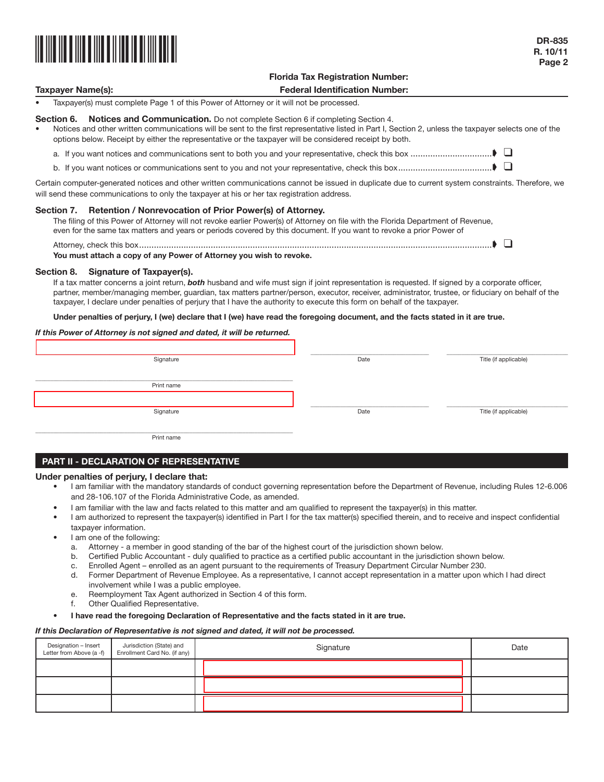

# **Florida Tax Registration Number: Taxpayer Name(s): Federal Identification Number:**

• Taxpayer(s) must complete Page 1 of this Power of Attorney or it will not be processed.

# **Section 6. Notices and Communication.** Do not complete Section 6 if completing Section 4.

- Notices and other written communications will be sent to the first representative listed in Part I, Section 2, unless the taxpayer selects one of the options below. Receipt by either the representative or the taxpayer will be considered receipt by both.
	- a. If you want notices and communications sent to both you and your representative, check this box .................................➧ ❑
	- b. If you want notices or communications sent to you and not your representative, check this box......................................➧ ❑

Certain computer-generated notices and other written communications cannot be issued in duplicate due to current system constraints. Therefore, we will send these communications to only the taxpayer at his or her tax registration address.

#### **Section 7. Retention / Nonrevocation of Prior Power(s) of Attorney.**

The filing of this Power of Attorney will not revoke earlier Power(s) of Attorney on file with the Florida Department of Revenue, even for the same tax matters and years or periods covered by this document. If you want to revoke a prior Power of

| You must attach a copy of any Power of Attorney you wish to revoke. |  |
|---------------------------------------------------------------------|--|

#### **Section 8. Signature of Taxpayer(s).**

If a tax matter concerns a joint return, *both* husband and wife must sign if joint representation is requested. If signed by a corporate officer, partner, member/managing member, guardian, tax matters partner/person, executor, receiver, administrator, trustee, or fiduciary on behalf of the taxpayer, I declare under penalties of perjury that I have the authority to execute this form on behalf of the taxpayer.

**Under penalties of perjury, I (we) declare that I (we) have read the foregoing document, and the facts stated in it are true.**

#### *If this Power of Attorney is not signed and dated, it will be returned.*

| Signature  | Date | Title (if applicable) |
|------------|------|-----------------------|
| Print name |      |                       |
|            |      |                       |
| Signature  | Date | Title (if applicable) |
| Print name |      |                       |

# **PART II - DECLARATION OF REPRESENTATIVE**

#### **Under penalties of perjury, I declare that:**

- I am familiar with the mandatory standards of conduct governing representation before the Department of Revenue, including Rules 12-6.006 and 28-106.107 of the Florida Administrative Code, as amended.
- I am familiar with the law and facts related to this matter and am qualified to represent the taxpayer(s) in this matter.
- I am authorized to represent the taxpayer(s) identified in Part I for the tax matter(s) specified therein, and to receive and inspect confidential taxpayer information.
- I am one of the following:
	- a. Attorney a member in good standing of the bar of the highest court of the jurisdiction shown below.
	- b. Certified Public Accountant duly qualified to practice as a certified public accountant in the jurisdiction shown below.
	- c. Enrolled Agent enrolled as an agent pursuant to the requirements of Treasury Department Circular Number 230.
	- d. Former Department of Revenue Employee. As a representative, I cannot accept representation in a matter upon which I had direct involvement while I was a public employee.
	- e. Reemployment Tax Agent authorized in Section 4 of this form.
	- f. Other Qualified Representative.

#### • **I have read the foregoing Declaration of Representative and the facts stated in it are true.**

#### *If this Declaration of Representative is not signed and dated, it will not be processed.*

| Designation – Insert<br>Letter from Above (a -f) | Jurisdiction (State) and<br>Enrollment Card No. (if any) | Signature | Date |
|--------------------------------------------------|----------------------------------------------------------|-----------|------|
|                                                  |                                                          |           |      |
|                                                  |                                                          |           |      |
|                                                  |                                                          |           |      |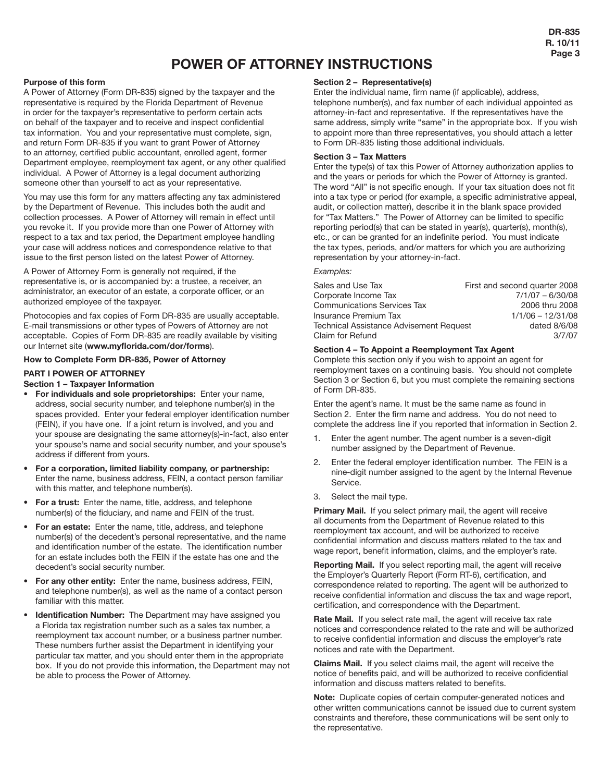# **POWER OF ATTORNEY INSTRUCTIONS**

## **Purpose of this form**

A Power of Attorney (Form DR-835) signed by the taxpayer and the representative is required by the Florida Department of Revenue in order for the taxpayer's representative to perform certain acts on behalf of the taxpayer and to receive and inspect confidential tax information. You and your representative must complete, sign, and return Form DR-835 if you want to grant Power of Attorney to an attorney, certified public accountant, enrolled agent, former Department employee, reemployment tax agent, or any other qualified individual. A Power of Attorney is a legal document authorizing someone other than yourself to act as your representative.

You may use this form for any matters affecting any tax administered by the Department of Revenue. This includes both the audit and collection processes. A Power of Attorney will remain in effect until you revoke it. If you provide more than one Power of Attorney with respect to a tax and tax period, the Department employee handling your case will address notices and correspondence relative to that issue to the first person listed on the latest Power of Attorney.

A Power of Attorney Form is generally not required, if the representative is, or is accompanied by: a trustee, a receiver, an administrator, an executor of an estate, a corporate officer, or an authorized employee of the taxpayer.

Photocopies and fax copies of Form DR-835 are usually acceptable. E-mail transmissions or other types of Powers of Attorney are not acceptable. Copies of Form DR-835 are readily available by visiting our Internet site (**www.myflorida.com/dor/forms**).

# **How to Complete Form DR-835, Power of Attorney**

# **PART I POWER OF ATTORNEY**

# **Section 1 – Taxpayer Information**

- **For individuals and sole proprietorships:** Enter your name, address, social security number, and telephone number(s) in the spaces provided. Enter your federal employer identification number (FEIN), if you have one. If a joint return is involved, and you and your spouse are designating the same attorney(s)-in-fact, also enter your spouse's name and social security number, and your spouse's address if different from yours.
- **For a corporation, limited liability company, or partnership:**  Enter the name, business address, FEIN, a contact person familiar with this matter, and telephone number(s).
- **For a trust:** Enter the name, title, address, and telephone number(s) of the fiduciary, and name and FEIN of the trust.
- **For an estate:** Enter the name, title, address, and telephone number(s) of the decedent's personal representative, and the name and identification number of the estate. The identification number for an estate includes both the FEIN if the estate has one and the decedent's social security number.
- **For any other entity:** Enter the name, business address, FEIN, and telephone number(s), as well as the name of a contact person familiar with this matter.
- **Identification Number:** The Department may have assigned you a Florida tax registration number such as a sales tax number, a reemployment tax account number, or a business partner number. These numbers further assist the Department in identifying your particular tax matter, and you should enter them in the appropriate box. If you do not provide this information, the Department may not be able to process the Power of Attorney.

# **Section 2 – Representative(s)**

Enter the individual name, firm name (if applicable), address, telephone number(s), and fax number of each individual appointed as attorney-in-fact and representative. If the representatives have the same address, simply write "same" in the appropriate box. If you wish to appoint more than three representatives, you should attach a letter to Form DR-835 listing those additional individuals.

#### **Section 3 – Tax Matters**

Enter the type(s) of tax this Power of Attorney authorization applies to and the years or periods for which the Power of Attorney is granted. The word "All" is not specific enough. If your tax situation does not fit into a tax type or period (for example, a specific administrative appeal, audit, or collection matter), describe it in the blank space provided for "Tax Matters." The Power of Attorney can be limited to specific reporting period(s) that can be stated in year(s), quarter(s), month(s), etc., or can be granted for an indefinite period. You must indicate the tax types, periods, and/or matters for which you are authorizing representation by your attorney-in-fact.

#### *Examples:*

| Sales and Use Tax                              | First and second quarter 2008 |
|------------------------------------------------|-------------------------------|
| Corporate Income Tax                           | $7/1/07 - 6/30/08$            |
| <b>Communications Services Tax</b>             | 2006 thru 2008                |
| Insurance Premium Tax                          | $1/1/06 - 12/31/08$           |
| <b>Technical Assistance Advisement Request</b> | dated 8/6/08                  |
| Claim for Refund                               | 3/7/07                        |

#### **Section 4 – To Appoint a Reemployment Tax Agent**

Complete this section only if you wish to appoint an agent for reemployment taxes on a continuing basis. You should not complete Section 3 or Section 6, but you must complete the remaining sections of Form DR-835.

Enter the agent's name. It must be the same name as found in Section 2. Enter the firm name and address. You do not need to complete the address line if you reported that information in Section 2.

- 1. Enter the agent number. The agent number is a seven-digit number assigned by the Department of Revenue.
- 2. Enter the federal employer identification number. The FEIN is a nine-digit number assigned to the agent by the Internal Revenue Service.
- 3. Select the mail type.

**Primary Mail.** If you select primary mail, the agent will receive all documents from the Department of Revenue related to this reemployment tax account, and will be authorized to receive confidential information and discuss matters related to the tax and wage report, benefit information, claims, and the employer's rate.

**Reporting Mail.** If you select reporting mail, the agent will receive the Employer's Quarterly Report (Form RT-6), certification, and correspondence related to reporting. The agent will be authorized to receive confidential information and discuss the tax and wage report, certification, and correspondence with the Department.

Rate Mail. If you select rate mail, the agent will receive tax rate notices and correspondence related to the rate and will be authorized to receive confidential information and discuss the employer's rate notices and rate with the Department.

**Claims Mail.** If you select claims mail, the agent will receive the notice of benefits paid, and will be authorized to receive confidential information and discuss matters related to benefits.

**Note:** Duplicate copies of certain computer-generated notices and other written communications cannot be issued due to current system constraints and therefore, these communications will be sent only to the representative.